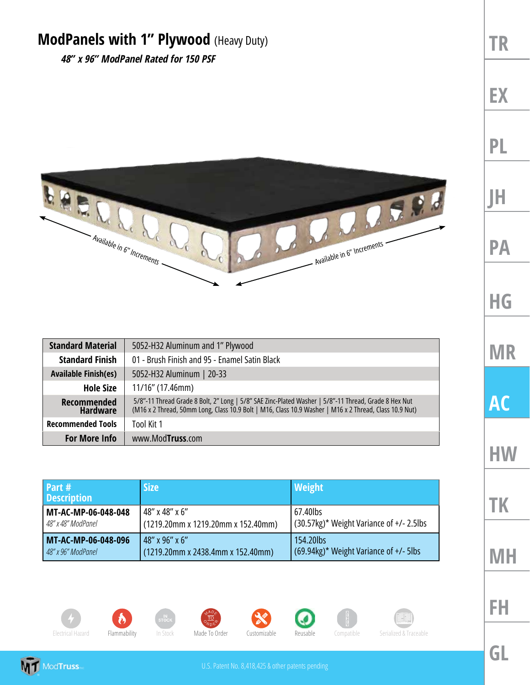## **ModPanels with 1" Plywood** (Heavy Duty)

*48" x 96" ModPanel Rated for 150 PSF*



| <b>Standard Material</b>              | 5052-H32 Aluminum and 1" Plywood                                                                                                                                                                               |
|---------------------------------------|----------------------------------------------------------------------------------------------------------------------------------------------------------------------------------------------------------------|
| <b>Standard Finish</b>                | 01 - Brush Finish and 95 - Enamel Satin Black                                                                                                                                                                  |
| <b>Available Finish(es)</b>           | 5052-H32 Aluminum   20-33                                                                                                                                                                                      |
| <b>Hole Size</b>                      | $11/16$ " (17.46mm)                                                                                                                                                                                            |
| <b>Recommended</b><br><b>Hardware</b> | 5/8"-11 Thread Grade 8 Bolt, 2" Long   5/8" SAE Zinc-Plated Washer   5/8"-11 Thread, Grade 8 Hex Nut<br>(M16 x 2 Thread, 50mm Long, Class 10.9 Bolt   M16, Class 10.9 Washer   M16 x 2 Thread, Class 10.9 Nut) |
| <b>Recommended Tools</b>              | Tool Kit 1                                                                                                                                                                                                     |
| <b>For More Info</b>                  | www.Mod <b>Truss</b> .com                                                                                                                                                                                      |

| Part #<br><b>Description</b> | <b>Size</b>                        | <b>Weight</b>                                  |
|------------------------------|------------------------------------|------------------------------------------------|
| MT-AC-MP-06-048-048          | 48" x 48" x 6"                     | 67.40lbs                                       |
| 48" x 48" ModPanel           | (1219.20mm x 1219.20mm x 152.40mm) | $(30.57kg)^*$ Weight Variance of $+/- 2.5$ lbs |
| MT-AC-MP-06-048-096          | 48" x 96" x 6"                     | 154.20lbs                                      |
| 48" x 96" ModPanel           | (1219.20mm x 2438.4mm x 152.40mm)  | (69.94kg)* Weight Variance of +/- 5lbs         |













Electrical Hazard Flammability In Stock Made To Order Customizable Reusable Compatible Serialized & Traceable

**TR EX**

**PL**

**JH**

**PA**

**HG**

**MR AC**

**HW**

**TK**

**MH**

**GL**

**FH**